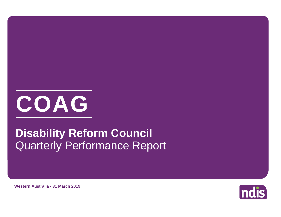

# Quarterly Performance Report **Disability Reform Council**



**Western Australia - 31 March 2019**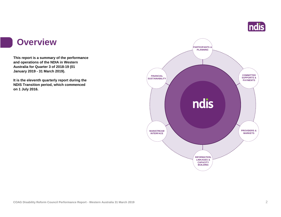

#### **Overview**

**This report is a summary of the performance and operations of the NDIA in Western Australia for Quarter 3 of 2018-19 (01 January 2019 - 31 March 2019).**

**It is the eleventh quarterly report during the NDIS Transition period, which commenced on 1 July 2016.** 

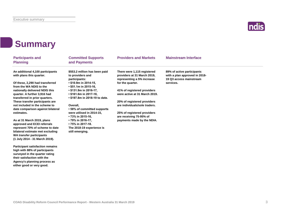

### **Summary**

**WA transfer participants (1 July 2014 - 31 March 2019).**

**Participant satisfaction remains high with 88% of participants surveyed in the quarter rating their satisfaction with the Agency's planning process as either good or very good.**

| <b>Participants and</b><br><b>Planning</b>                 | <b>Committed Supports</b><br>and Payments                  | <b>Providers and Markets</b>                              | <b>Mainstream Interface</b>                              |  |
|------------------------------------------------------------|------------------------------------------------------------|-----------------------------------------------------------|----------------------------------------------------------|--|
| An additional 4,100 participants                           | \$553.2 million has been paid                              | There were 1,115 registered                               | 89% of active participants                               |  |
| with plans this quarter.                                   | to providers and<br>participants:                          | providers at 31 March 2019,<br>representing a 5% increase | with a plan approved in 2018-<br>19 Q3 access mainstream |  |
| Of these, 2,290 had transferred<br>from the WA NDIS to the | $\cdot$ \$10.9m in 2014-15,<br>$\cdot$ \$51.1m in 2015-16, | for the quarter.                                          | services.                                                |  |
| nationally delivered NDIS this                             | $\cdot$ \$131.9m in 2016-17,                               | 41% of registered providers                               |                                                          |  |
| quarter. A further 3,916 had                               | $\cdot$ \$161.6m in 2017-18.                               | were active at 31 March 2019.                             |                                                          |  |
| transferred in prior quarters.                             | • \$197.8m in 2018-19 to date.                             |                                                           |                                                          |  |
| These transfer participants are                            |                                                            | 20% of registered providers                               |                                                          |  |
| not included in the scheme to                              | Overall.                                                   | are individuals/sole traders.                             |                                                          |  |
| date comparison against bilateral                          | • 58% of committed supports                                |                                                           |                                                          |  |
| estimates.                                                 | were utilised in 2014-15.                                  | 25% of registered providers                               |                                                          |  |
|                                                            | • 73% in 2015-16,                                          | are receiving 75-95% of                                   |                                                          |  |
| As at 31 March 2019, plans                                 | • 79% in 2016-17,                                          | payments made by the NDIA.                                |                                                          |  |
| approved and ECEI referrals                                | • 75% in 2017-18.                                          |                                                           |                                                          |  |
| represent 70% of scheme to date                            | The 2018-19 experience is                                  |                                                           |                                                          |  |
| bilateral estimate met excluding                           | still emerging.                                            |                                                           |                                                          |  |

#### **COAG Disability Reform Council Performance Report - Western Australia 31 March 2019** 3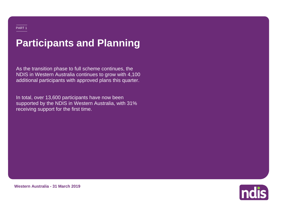# **Participants and Planning**

As the transition phase to full scheme continues, the NDIS in Western Australia continues to grow with 4,100 additional participants with approved plans this quarter.

In total, over 13,600 participants have now been supported by the NDIS in Western Australia, with 31% receiving support for the first time.



**Western Australia - 31 March 2019**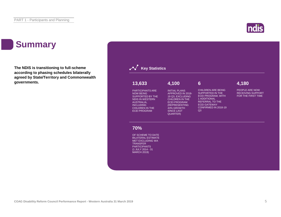## **Summary**

**The NDIS is transitioning to full-scheme according to phasing schedules bilaterally agreed by State/Territory and Commonwealth governments.**



ndis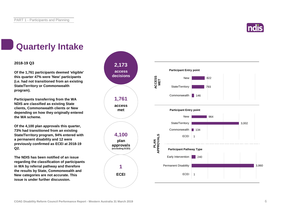

# **Quarterly Intake**

#### **2018-19 Q3**

**Of the 1,761 participants deemed 'eligible' this quarter 47% were 'New' participants (i.e. had not transitioned from an existing State/Territory or Commonwealth program).**

**Participants transferring from the WA NDIS are classified as existing State clients, Commonwealth clients or New depending on how they originally entered the WA scheme.**

**Of the 4,100 plan approvals this quarter, 73% had transitioned from an existing State/Territory program, 94% entered with a permanent disability and 12 were previously confirmed as ECEI at 2018-19 Q2.**

**The NDIS has been notified of an issue regarding the classification of participants in WA by referral pathway and therefore the results by State, Commonwealth and New categories are not accurate. This issue is under further discussion.**

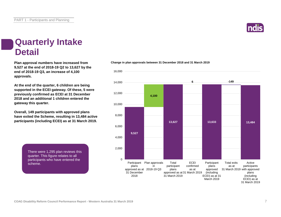**COAG Disability Reform Council Performance Report - Western Australia 31 March 2019** 7

#### **Quarterly Intake Detail**

**Plan approval numbers have increased from Change in plan approvals between 31 December 2018 and 31 March 2019 9,527 at the end of 2018-19 Q2 to 13,627 by the end of 2018-19 Q3, an increase of 4,100 approvals.**

**At the end of the quarter, 6 children are being supported in the ECEI gateway. Of these, 5 were previously confirmed as ECEI at 31 December 2018 and an additional 1 children entered the gateway this quarter.**

**Overall, 149 participants with approved plans have exited the Scheme, resulting in 13,484 active participants (including ECEI) as at 31 March 2019.** 

> There were 1,295 plan reviews this quarter. This figure relates to all participants who have entered the scheme.





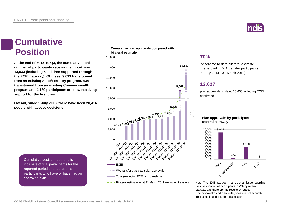#### **Cumulative Position**

**At the end of 2018-19 Q3, the cumulative total number of participants receiving support was 13,633 (including 6 children supported through the ECEI gateway). Of these, 9,013 transitioned from an existing State/Territory program, 434 transitioned from an existing Commonwealth program and 4,180 participants are now receiving support for the first time.**

**Overall, since 1 July 2013, there have been 20,416 people with access decisions.**

**Cumulative plan approvals compared with bilateral estimate**



#### **70%**

of scheme to date bilateral estimate met excluding WA transfer participants (1 July 2014 - 31 March 2019)

#### **13,627**

plan approvals to date; 13,633 including ECEI confirmed

#### **Plan approvals by participant referral pathway**



Note: The NDIS has been notified of an issue regarding the classification of participants in WA by referral pathway and therefore the results by State, Commonwealth and New categories are not accurate. This issue is under further discussion.

Cumulative position reporting is inclusive of trial participants for the reported period and represents participants who have or have had an approved plan.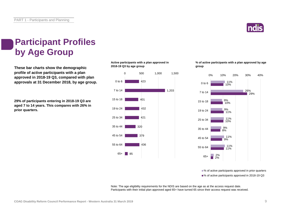

### **Participant Profiles by Age Group**

**These bar charts show the demographic profile of active participants with a plan approved in 2018-19 Q3, compared with plan approvals at 31 December 2018, by age group.**

**29% of participants entering in 2018-19 Q3 are aged 7 to 14 years. This compares with 26% in prior quarters.**

**Active participants with a plan approved in 2018-19 Q3 by age group**



**% of active participants with a plan approved by age group**



■% of active participants approved in prior quarters ■% of active participants approved in 2018-19 Q3

Note: The age eligibility requirements for the NDIS are based on the age as at the access request date. Participants with their initial plan approved aged 65+ have turned 65 since their access request was received.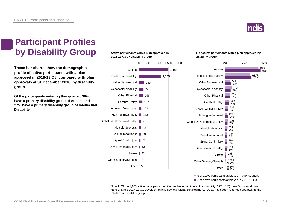

### **Participant Profiles by Disability Group**

**These bar charts show the demographic profile of active participants with a plan approved in 2018-19 Q3, compared with plan approvals at 31 December 2018, by disability group.**

**Of the participants entering this quarter, 36% have a primary disability group of Autism and 27% have a primary disability group of Intellectual Disability.**

#### **Active participants with a plan approved in 2018-19 Q3 by disability group**



#### **% of active participants with a plan approved by disability group**



■% of active participants approved in prior quarters

■% of active participants approved in 2018-19 Q3

Note 1: Of the 1,105 active participants identified as having an intellectual disability, 127 (11%) have Down syndrome. Note 2: Since 2017-18 Q1 Developmental Delay and Global Developmental Delay have been reported separately to the Intellectual Disability group.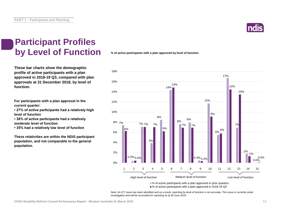

### **Participant Profiles by Level of Function**

**These bar charts show the demographic profile of active participants with a plan approved in 2018-19 Q3, compared with plan approvals at 31 December 2018, by level of function.**

**For participants with a plan approval in the current quarter:** 

**• 27% of active participants had a relatively high level of function**

**• 38% of active participants had a relatively moderate level of function** 

**• 35% had a relatively low level of function**

**These relativities are within the NDIS participant population, and not comparable to the general population.**

**% of active participants with a plan approved by level of function**



■% of active participants with a plan approved in 2018-19 Q3

Note: An ICT issue has been identified and as a result, reporting by level of function is not accurate. This issue is currently under investigation and will be reconciled for reporting as at 30 June 2019.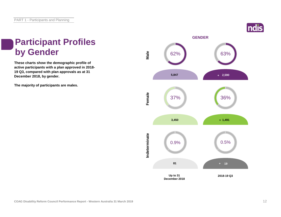

### **Participant Profiles by Gender**

**These charts show the demographic profile of active participants with a plan approved in 2018- 19 Q3, compared with plan approvals as at 31 December 2018, by gender.**

**The majority of participants are males.**

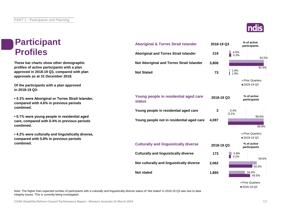#### **Participant Profiles**

**These bar charts show other demographic profiles of active participants with a plan approved in 2018-19 Q3, compared with plan approvals as at 31 December 2018.**

**Of the participants with a plan approved in 2018-19 Q3:**

**• 5.3% were Aboriginal or Torres Strait Islander, compared with 4.6% in previous periods combined.**

**• 0.1% were young people in residential aged care, compared with 0.4% in previous periods combined.**

**• 4.2% were culturally and linguistically diverse, compared with 5.8% in previous periods combined.**

#### **219 3,808 73 3 4,097 173 2,062 1,865 Young people not in residential aged care Culturally and linguistically diverse Not Aboriginal and Torres Strait Islander Not stated Aboriginal and Torres Strait Islander Young people in residential aged care status Young people in residential aged care Culturally and linguistically diverse Not Stated Not culturally and linguistically diverse Aboriginal & Torres Strait Islander**  4.6% 93.5% 1.9% 5.3% 92.9% 1.8% **Prior Quarters** 2018-19 Q3 0.4% 99.6% 0.1% 99.9% **Prior Quarters** 2018-19 Q3 **2018-19 Q3 % of active participants 2018-19 Q3 % of active participants** 5.8% 59.6% 34.6% 4.2% 50.3% 45.5% **2018-19 Q3 % of active participants**

Prior Quarters 2018-19 Q3

Note: The higher than expected number of participants with a culturally and linguistically diverse status of 'Not stated' in 2018-19 Q3 was due to data integrity issues. This is currently being investigated.

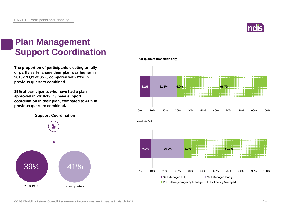

#### **Plan Management Support Coordination**

**The proportion of participants electing to fully or partly self-manage their plan was higher in 2018-19 Q3 at 35%, compared with 29% in previous quarters combined.**

**39% of participants who have had a plan approved in 2018-19 Q3 have support coordination in their plan, compared to 41% in previous quarters combined.**

**Support Coordination**



**Prior quarters (transition only)**

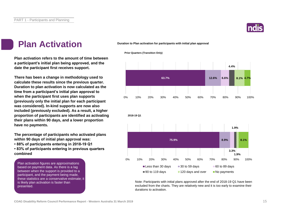

#### **Plan Activation**

**Plan activation refers to the amount of time between a participant's initial plan being approved, and the date the participant first receives support.**

**There has been a change in methodology used to calculate these results since the previous quarter. Duration to plan activation is now calculated as the time from a participant's initial plan approval to when the participant first uses plan supports (previously only the initial plan for each participant was considered). In-kind supports are now also included (previously excluded). As a result, a higher proportion of participants are identified as activating their plans within 90 days, and a lower proportion have no payments.**

**The percentage of participants who activated plans within 90 days of initial plan approval was:** 

**• 88% of participants entering in 2018-19 Q1**

**• 83% of participants entering in previous quarters combined**

Plan activation figures are approximations based on payment data. As there is a lag between when the support is provided to a participant, and the payment being made, these statistics are a conservative estimate; it is likely plan activation is faster than presented.

**Duration to Plan activation for participants with initial plan approval**



Note: Participants with initial plans approved after the end of 2018-19 Q1 have been excluded from the charts. They are relatively new and it is too early to examine their durations to activation.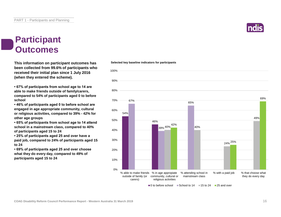#### **Participant Outcomes**

**This information on participant outcomes has been collected from 99.6% of participants who received their initial plan since 1 July 2016 (when they entered the scheme).**

**• 67% of participants from school age to 14 are able to make friends outside of family/carers, compared to 54% of participants aged 0 to before school**

**• 46% of participants aged 0 to before school are engaged in age appropriate community, cultural or religious activities, compared to 39% - 42% for other age groups**

**• 65% of participants from school age to 14 attend school in a mainstream class, compared to 40% of participants aged 15 to 24**

**• 25% of participants aged 25 and over have a paid job, compared to 24% of participants aged 15 to 24**

**• 69% of participants aged 25 and over choose what they do every day, compared to 49% of participants aged 15 to 24**



 $\Box$ 0 to before school  $\Box$  School to 14  $\Box$  15 to 24  $\Box$  25 and over

#### **Selected key baseline indicators for participants**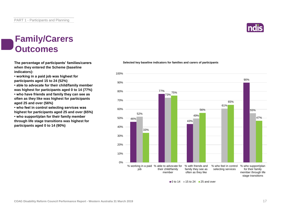### **Family/Carers Outcomes**

**The percentage of participants' families/carers when they entered the Scheme (baseline indicators):**

**• working in a paid job was highest for participants aged 15 to 24 (52%)**

**• able to advocate for their child/family member was highest for participants aged 0 to 14 (77%) • who have friends and family they can see as often as they like was highest for participants aged 25 and over (56%)**

**• who feel in control selecting services was highest for participants aged 25 and over (65%) • who support/plan for their family member through life stage transitions was highest for participants aged 0 to 14 (90%)**

#### **Selected key baseline indicators for families and carers of participants**



 $\blacksquare$ 0 to 14  $\blacksquare$  15 to 24  $\blacksquare$  25 and over

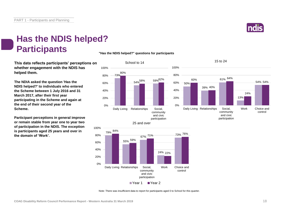

### **Has the NDIS helped? Participants**

**This data reflects participants' perceptions on whether engagement with the NDIS has helped them.**

**The NDIA asked the question 'Has the NDIS helped?' to individuals who entered the Scheme between 1 July 2016 and 31 March 2017, after their first year participating in the Scheme and again at the end of their second year of the Scheme.**

**Participant perceptions in general improve or remain stable from year one to year two of participation in the NDIS. The exception is participants aged 25 years and over in the domain of 'Work'.**

**"Has the NDIS helped?" questions for participants**



■Year 1 ■ Year 2

participation

Note: There was insufficient data to report for participants aged 0 to School for this quarter.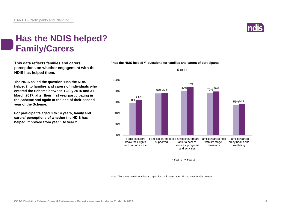

### **Has the NDIS helped? Family/Carers**

**This data reflects families and carers' perceptions on whether engagement with the NDIS has helped them.**

**The NDIA asked the question 'Has the NDIS helped?' to families and carers of individuals who entered the Scheme between 1 July 2016 and 31 March 2017, after their first year participating in the Scheme and again at the end of their second year of the Scheme.**

**For participants aged 0 to 14 years, family and carers' perceptions of whether the NDIS has helped improved from year 1 to year 2.**





0 to 14

Year 1 Year 2

Note: There was insufficient data to report for participants aged 15 and over for this quarter.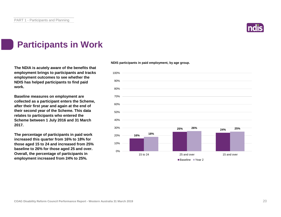

### **Participants in Work**

**The NDIA is acutely aware of the benefits that employment brings to participants and tracks employment outcomes to see whether the NDIS has helped participants to find paid work.**

**Baseline measures on employment are collected as a participant enters the Scheme, after their first year and again at the end of their second year of the Scheme. This data relates to participants who entered the Scheme between 1 July 2016 and 31 March 2017.**

**The percentage of participants in paid work increased this quarter from 16% to 18% for those aged 15 to 24 and increased from 25% baseline to 26% for those aged 25 and over. Overall, the percentage of participants in employment increased from 24% to 25%.**

**NDIS participants in paid employment, by age group.**

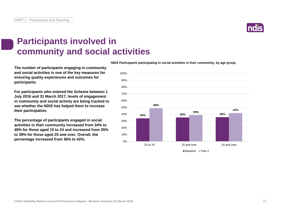PART 1 - Participants and Planning

### **Participants involved in community and social activities**

**The number of participants engaging in community and social activities is one of the key measures for ensuring quality experiences and outcomes for participants.**

**For participants who entered the Scheme between 1 July 2016 and 31 March 2017, levels of engagement in community and social activity are being tracked to see whether the NDIS has helped them to increase their participation.**

**The percentage of participants engaged in social activities in their community increased from 34% to 49% for those aged 15 to 24 and increased from 35% to 39% for those aged 25 and over. Overall, the percentage increased from 36% to 42%.**

**NDIS Participants participating in social activities in their community, by age group.**



■Baseline ■ Year 2

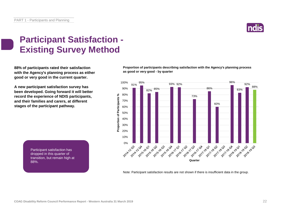

### **Participant Satisfaction - Existing Survey Method**

**88% of participants rated their satisfaction with the Agency's planning process as either good or very good in the current quarter.** 

**A new participant satisfaction survey has been developed. Going forward it will better record the experience of NDIS participants, and their families and carers, at different stages of the participant pathway.**

**Proportion of participants describing satisfaction with the Agency's planning process as good or very good - by quarter**



Participant satisfaction has dropped in this quarter of transition, but remain high at 88%.

Note: Participant satisfaction results are not shown if there is insufficient data in the group.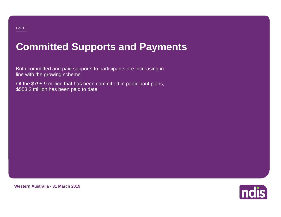# **Committed Supports and Payments**

Both committed and paid supports to participants are increasing in line with the growing scheme.

Of the \$795.9 million that has been committed in participant plans, \$553.2 million has been paid to date.



**Western Australia - 31 March 2019**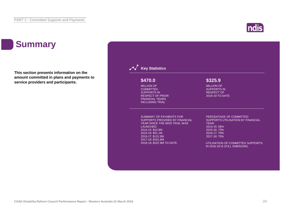## **Summary**

**This section presents information on the amount committed in plans and payments to service providers and participants.**

#### **Key Statistics** SUMMARY OF PAYMENTS FOR SUPPORTS PROVIDED BY FINANCIAL YEAR SINCE THE NDIS TRIAL WAS LAUNCHED: 2014-15: \$10.9M 2015-16: \$51.1M 2016-17: \$131.9M 2017-18: \$161.6M 2018-19: \$197.8M TO DATE. PERCENTAGE OF COMMITTED SUPPORTS UTILISATION BY FINANCIAL YEAR: 2014-15: 58% 2015-16: 73% 2016-17: 79% 2017-18: 75% UTILISATION OF COMMITTED SUPPORTS IN 2018-19 IS STILL EMERGING. MILLION OF **COMMITTED** SUPPORTS IN RESPECT OF PRIOR FINANCIAL YEARS INCLUDING TRIAL **\$470.0** MILLION OF SUPPORTS IN RESPECT OF 2018-19 TO DATE **\$325.9**

**ndis**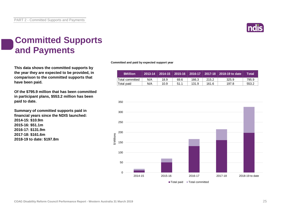

### **Committed Supports and Payments**

**This data shows the committed supports by the year they are expected to be provided, in comparison to the committed supports that have been paid.**

**Of the \$795.9 million that has been committed in participant plans, \$553.2 million has been paid to date.**

**Summary of committed supports paid in financial years since the NDIS launched: 2014-15: \$10.9m 2015-16: \$51.1m 2016-17: \$131.9m 2017-18: \$161.6m 2018-19 to date: \$197.8m**

**Committed and paid by expected support year**

| <b>SMillion</b>  |     |      |      |       |       | , 2013-14 │ 2014-15 │ 2015-16 │ 2016-17 │ 2017-18 │ 2018-19 to date | Total |
|------------------|-----|------|------|-------|-------|---------------------------------------------------------------------|-------|
| 'Total committed | N/A | 18.9 | 69.6 | 166.3 | 215.2 | 325.9                                                               | 795.9 |
| 'Total paid      | N/A | 10.9 | 51.1 | 131.9 | 161.6 | 197.8                                                               | 553.2 |

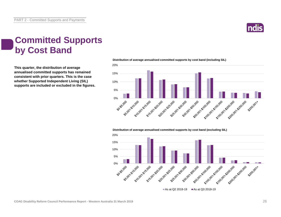

#### **Committed Supports by Cost Band**

**This quarter, the distribution of average annualised committed supports has remained consistent with prior quarters. This is the case whether Supported Independent Living (SIL) supports are included or excluded in the figures.**



**Distribution of average annualised committed supports by cost band (excluding SIL)** 

**Distribution of average annualised committed supports by cost band (including SIL)** 

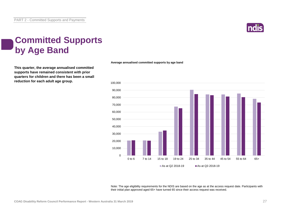

### **Committed Supports by Age Band**

**This quarter, the average annualised committed supports have remained consistent with prior quarters for children and there has been a small reduction for each adult age group.**

**Average annualised committed supports by age band**



Note: The age eligibility requirements for the NDIS are based on the age as at the access request date. Participants with their initial plan approved aged 65+ have turned 65 since their access request was received.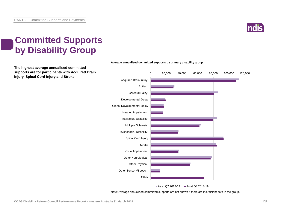

### **Committed Supports by Disability Group**

**The highest average annualised committed supports are for participants with Acquired Brain Injury, Spinal Cord Injury and Stroke.**



#### **Average annualised committed supports by primary disability group**

Note: Average annualised committed supports are not shown if there are insufficient data in the group.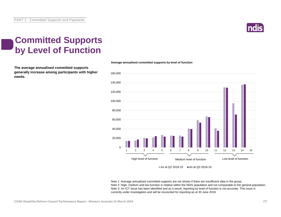

### **Committed Supports by Level of Function**

**The average annualised committed supports generally increase among participants with higher needs.**



**Average annualised committed supports by level of function**

Note 1: Average annualised committed supports are not shown if there are insufficient data in the group. Note 2: High, medium and low function is relative within the NDIS population and not comparable to the general population. Note 3: An ICT issue has been identified and as a result, reporting by level of function is not accurate. This issue is currently under investigation and will be reconciled for reporting as at 30 June 2019.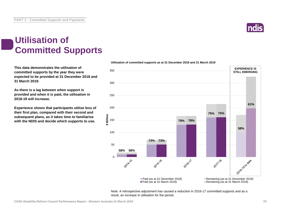

#### **Utilisation of Committed Supports**

**This data demonstrates the utilisation of committed supports by the year they were expected to be provided at 31 December 2018 and 31 March 2019.** 

**As there is a lag between when support is provided and when it is paid, the utilisation in 2018-19 will increase.**

**Experience shows that participants utilise less of their first plan, compared with their second and subsequent plans, as it takes time to familiarise with the NDIS and decide which supports to use.** 



**Utilisation of committed supports as at 31 December 2018 and 31 March 2019**

Note: A retrospective adjustment has caused a reduction in 2016-17 committed supports and as a result, an increase in utilisation for the period.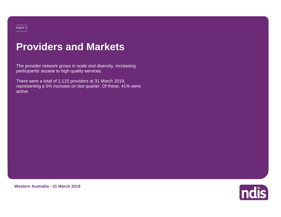#### PART 3

### **Providers and Markets**

The provider network grows in scale and diversity, increasing participants' access to high quality services.

There were a total of 1,115 providers at 31 March 2019, representing a 5% increase on last quarter. Of these, 41% were active.



**Western Australia - 31 March 2019**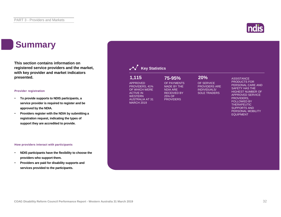## **Summary**

**This section contains information on registered service providers and the market, with key provider and market indicators presented.**

#### **Provider registration**

- **To provide supports to NDIS participants, a service provider is required to register and be approved by the NDIA.**
- **Providers register with the NDIA by submitting a registration request, indicating the types of support they are accredited to provide.**

#### **How providers interact with participants**

- **NDIS participants have the flexibility to choose the providers who support them.**
- **Providers are paid for disability supports and services provided to the participants.**

| 1,115<br><b>APPROVED</b><br>PROVIDERS, 41%<br>OF WHICH WERE<br><b>ACTIVE IN</b><br><b>WESTERN</b><br><b>AUSTRALIA AT 31</b><br><b>MARCH 2019</b> | 75-95%<br>OF PAYMENTS<br><b>MADE BY THE</b><br><b>NDIA ARE</b><br><b>RECEIVED BY</b><br>25% OF<br><b>PROVIDERS</b> | 20%<br>OF SERVICE<br><b>PROVIDERS ARE</b><br><b>INDIVIDUALS/</b><br><b>SOLE TRADERS</b> | <b>ASSISTANCE</b><br><b>PRODUCTS FOR</b><br>PERSONAL CARE AND<br><b>SAFETY HAS THE</b><br><b>HIGHEST NUMBER OF</b><br><b>APPROVED SERVICE</b><br>PROVIDERS.<br><b>FOLLOWED BY</b><br><b>THERAPEUTIC</b><br><b>SUPPORTS AND</b><br>PERSONAL MOBILITY |  |
|--------------------------------------------------------------------------------------------------------------------------------------------------|--------------------------------------------------------------------------------------------------------------------|-----------------------------------------------------------------------------------------|-----------------------------------------------------------------------------------------------------------------------------------------------------------------------------------------------------------------------------------------------------|--|
|                                                                                                                                                  |                                                                                                                    |                                                                                         | <b>EQUIPMENT</b>                                                                                                                                                                                                                                    |  |

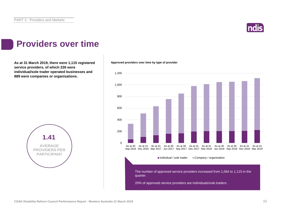

#### **Providers over time**

As at 31 March 2019, there were 1,115 registered **Approved providers over time by type of provider service providers, of which 226 were individual/sole trader operated businesses and 889 were companies or organisations.**



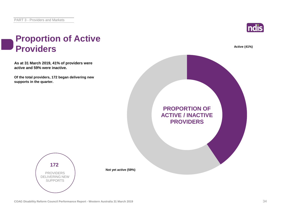

#### **Proportion of Active Providers Active** (41%)

**As at 31 March 2019, 41% of providers were active and 59% were inactive.**

**Of the total providers, 172 began delivering new supports in the quarter.**





**Not yet active (59%)**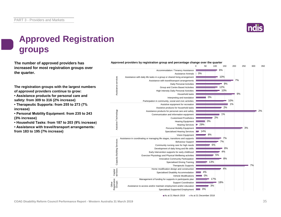

### **Approved Registration groups**

**The number of approved providers has** *Approved providers by registration group and percentage change over the quarter***<br>
<b>100** 50 100 **increased for most registration groups over the quarter.**

**The registration groups with the largest numbers of approved providers continue to grow:**

**• Assistance products for personal care and safety: from 309 to 316 (2% increase)**

**• Therapeutic Supports: from 255 to 273 (7% increase)**

**• Personal Mobility Equipment: from 235 to 243 (3% increase)**

**• Household Tasks: from 187 to 203 (9% increase)**

**• Assistance with travel/transport arrangements: from 183 to 195 (7% increase)**



As at 31 March 2019 As at 31 December 2018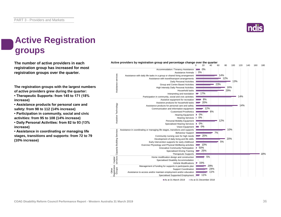

### **Active Registration groups**

**The number of active providers in each registration group has increased for most registration groups over the quarter.**

**The registration groups with the largest numbers of active providers grew during the quarter:**

**• Therapeutic Supports: from 145 to 171 (18% increase)**

**• Assistance products for personal care and safety: from 98 to 112 (14% increase)**

**• Participation in community, social and civic activities: from 95 to 108 (14% increase)**

**• Daily Personal Activities: from 82 to 93 (13% increase)**

**• Assistance in coordinating or managing life stages, transitions and supports: from 72 to 79 (10% increase)**

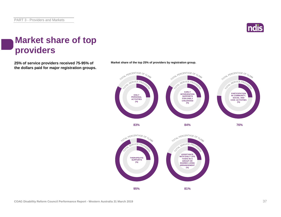

#### **Market share of top providers**

**25% of service providers received 75-95% of Market share of the top 25% of providers by registration group. the dollars paid for major registration groups.**



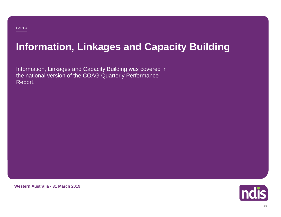# **Information, Linkages and Capacity Building**

Information, Linkages and Capacity Building was covered in the national version of the COAG Quarterly Performance Report.

**Western Australia - 31 March 2019**

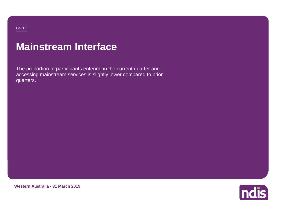#### PART 5

### **Mainstream Interface**

The proportion of participants entering in the current quarter and accessing mainstream services is slightly lower compared to prior quarters.

**Western Australia - 31 March 2019**

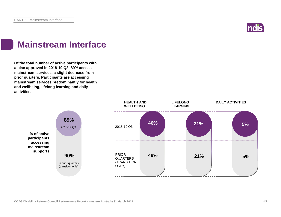

### **Mainstream Interface**

**Of the total number of active participants with a plan approved in 2018-19 Q3, 89% access mainstream services, a slight decrease from prior quarters. Participants are accessing mainstream services predominantly for health and wellbeing, lifelong learning and daily activities.**